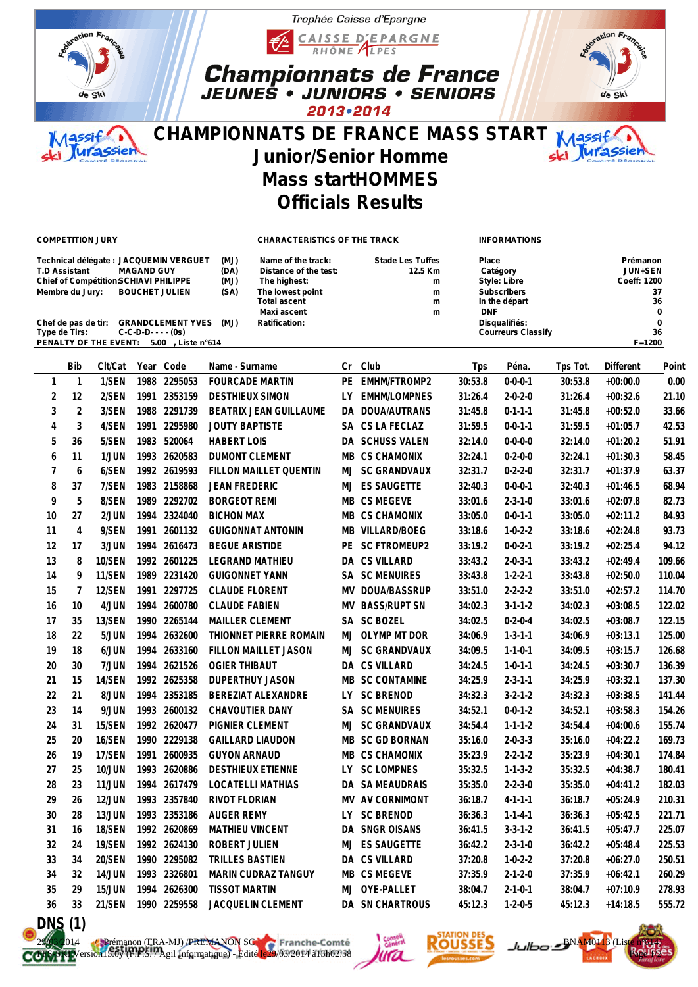



## **CHAMPIONNATS DE FRANCE MASS START**  $M$  A assif **Urassie Junior/Senior Homme Mass startHOMMES Officials Results**

Trophée Caisse d'Epargne

CAISSE D'EPARGNE

**Championnats de France<br>JEUNES • JUNIORS • SENIORS** 

2013 . 2014

**In the départ** 

ration Franc

de Ski

 **Maxi ascent m DNF 0**

## **COMPETITION JURY CHARACTERISTICS OF THE TRACK INFORMATIONS**

**Technical délégate : JACQUEMIN VERGUET (MJ) Name of the track: Stade Les Tuffes Place Prémanon T.D Assistant MAGAND GUY (DA) Distance of the test: 12.5 Km Catégory JUN+SEN**  $\begin{array}{ccc}\n\text{Chief of Compeittion-SCHIAVI PHILIPPE} & \text{(MJ)} & \text{The highest:} \\
\text{Member du Jury:} & \text{BOUCHET JULIEN} & \text{(SA)} & \text{The lowest point} & \text{M} & \text{M} & \text{Subscribers}\n\end{array}$ **Membre du Jury: BOUCHET JULIEN (SA) The lowest point m Subscribers 37**

**Chef de pas de tir: GRANDCLEMENT YVES (MJ) Ratification: Disqualifiés: 0 Type de Tirs: C-C-D-D- - - - (0s) Courreurs Classify 36 PENALTY OF THE EVENT: 5.00 , Liste n°614 F=1200**

|                | <b>Bib</b>     | Clt/Cat       | Year | Code         | Name - Surname           | Сr  | Club                  | Tps     | Péna.           | Tps Tot. | Different  | Point  |
|----------------|----------------|---------------|------|--------------|--------------------------|-----|-----------------------|---------|-----------------|----------|------------|--------|
| $\mathbf{1}$   | 1              | 1/SEN         | 1988 | 2295053      | <b>FOURCADE MARTIN</b>   | PE  | EMHM/FTROMP2          | 30:53.8 | $0 - 0 - 0 - 1$ | 30:53.8  | $+00:00.0$ | 0.00   |
| 2              | 12             | 2/SEN         | 1991 | 2353159      | <b>DESTHIEUX SIMON</b>   | LY. | <b>EMHM/LOMPNES</b>   | 31:26.4 | $2 - 0 - 2 - 0$ | 31:26.4  | $+00:32.6$ | 21.10  |
| 3              | $\overline{2}$ | 3/SEN         |      | 1988 2291739 | BEATRIX JEAN GUILLAUME   |     | DA DOUA/AUTRANS       | 31:45.8 | $0 - 1 - 1 - 1$ | 31:45.8  | $+00:52.0$ | 33.66  |
| 4              | 3              | 4/SEN         | 1991 | 2295980      | <b>JOUTY BAPTISTE</b>    |     | SA CS LA FECLAZ       | 31:59.5 | $0 - 0 - 1 - 1$ | 31:59.5  | $+01:05.7$ | 42.53  |
| 5              | 36             | 5/SEN         |      | 1983 520064  | <b>HABERT LOIS</b>       |     | DA SCHUSS VALEN       | 32:14.0 | $0 - 0 - 0 - 0$ | 32:14.0  | $+01:20.2$ | 51.91  |
| 6              | 11             | 1/JUN         |      | 1993 2620583 | <b>DUMONT CLEMENT</b>    |     | MB CS CHAMONIX        | 32:24.1 | $0 - 2 - 0 - 0$ | 32:24.1  | $+01:30.3$ | 58.45  |
| $\overline{7}$ | 6              | 6/SEN         |      | 1992 2619593 | FILLON MAILLET QUENTIN   |     | MJ SC GRANDVAUX       | 32:31.7 | $0 - 2 - 2 - 0$ | 32:31.7  | $+01:37.9$ | 63.37  |
| 8              | 37             | 7/SEN         |      | 1983 2158868 | <b>JEAN FREDERIC</b>     |     | MJ ES SAUGETTE        | 32:40.3 | $0 - 0 - 0 - 1$ | 32:40.3  | $+01:46.5$ | 68.94  |
| 9              | 5              | 8/SEN         |      | 1989 2292702 | <b>BORGEOT REMI</b>      |     | MB CS MEGEVE          | 33:01.6 | $2 - 3 - 1 - 0$ | 33:01.6  | $+02:07.8$ | 82.73  |
| 10             | 27             | 2/JUN         |      | 1994 2324040 | <b>BICHON MAX</b>        |     | MB CS CHAMONIX        | 33:05.0 | $0 - 0 - 1 - 1$ | 33:05.0  | $+02:11.2$ | 84.93  |
| 11             | $\overline{4}$ | 9/SEN         | 1991 | 2601132      | <b>GUIGONNAT ANTONIN</b> |     | MB VILLARD/BOEG       | 33:18.6 | $1 - 0 - 2 - 2$ | 33:18.6  | $+02:24.8$ | 93.73  |
| 12             | 17             | 3/JUN         |      | 1994 2616473 | <b>BEGUE ARISTIDE</b>    |     | PE SC FTROMEUP2       | 33:19.2 | $0 - 0 - 2 - 1$ | 33:19.2  | $+02:25.4$ | 94.12  |
| 13             | 8              | 10/SEN        |      | 1992 2601225 | LEGRAND MATHIEU          |     | DA CS VILLARD         | 33:43.2 | $2 - 0 - 3 - 1$ | 33:43.2  | $+02:49.4$ | 109.66 |
| 14             | 9              | 11/SEN        | 1989 | 2231420      | <b>GUIGONNET YANN</b>    |     | SA SC MENUIRES        | 33:43.8 | $1 - 2 - 2 - 1$ | 33:43.8  | $+02:50.0$ | 110.04 |
| 15             | $\overline{7}$ | 12/SEN        | 1991 | 2297725      | <b>CLAUDE FLORENT</b>    |     | MV DOUA/BASSRUP       | 33:51.0 | $2 - 2 - 2 - 2$ | 33:51.0  | $+02:57.2$ | 114.70 |
| 16             | 10             | 4/JUN         | 1994 | 2600780      | <b>CLAUDE FABIEN</b>     |     | MV BASS/RUPT SN       | 34:02.3 | $3 - 1 - 1 - 2$ | 34:02.3  | $+03:08.5$ | 122.02 |
| 17             | 35             | 13/SEN        | 1990 | 2265144      | MAILLER CLEMENT          |     | SA SC BOZEL           | 34:02.5 | $0 - 2 - 0 - 4$ | 34:02.5  | $+03:08.7$ | 122.15 |
| 18             | 22             | 5/JUN         |      | 1994 2632600 | THIONNET PIERRE ROMAIN   |     | MJ OLYMP MT DOR       | 34:06.9 | $1 - 3 - 1 - 1$ | 34:06.9  | $+03:13.1$ | 125.00 |
| 19             | 18             | 6/JUN         |      | 1994 2633160 | FILLON MAILLET JASON     |     | MJ SC GRANDVAUX       | 34:09.5 | $1 - 1 - 0 - 1$ | 34:09.5  | $+03:15.7$ | 126.68 |
| 20             | 30             | 7/JUN         |      | 1994 2621526 | <b>OGIER THIBAUT</b>     |     | DA CS VILLARD         | 34:24.5 | $1 - 0 - 1 - 1$ | 34:24.5  | $+03:30.7$ | 136.39 |
| 21             | 15             | 14/SEN        |      | 1992 2625358 | <b>DUPERTHUY JASON</b>   |     | MB SC CONTAMINE       | 34:25.9 | $2 - 3 - 1 - 1$ | 34:25.9  | $+03:32.1$ | 137.30 |
| 22             | 21             | 8/JUN         |      | 1994 2353185 | BEREZIAT ALEXANDRE       |     | LY SC BRENOD          | 34:32.3 | $3 - 2 - 1 - 2$ | 34:32.3  | $+03:38.5$ | 141.44 |
| 23             | 14             | 9/JUN         |      | 1993 2600132 | CHAVOUTIER DANY          |     | <b>SA SC MENUIRES</b> | 34:52.1 | $0 - 0 - 1 - 2$ | 34:52.1  | $+03:58.3$ | 154.26 |
| 24             | 31             | 15/SEN        |      | 1992 2620477 | PIGNIER CLEMENT          |     | MJ SC GRANDVAUX       | 34:54.4 | $1 - 1 - 1 - 2$ | 34:54.4  | $+04:00.6$ | 155.74 |
| 25             | 20             | 16/SEN        |      | 1990 2229138 | <b>GAILLARD LIAUDON</b>  |     | MB SC GD BORNAN       | 35:16.0 | $2 - 0 - 3 - 3$ | 35:16.0  | $+04:22.2$ | 169.73 |
| 26             | 19             | 17/SEN        | 1991 | 2600935      | <b>GUYON ARNAUD</b>      |     | MB CS CHAMONIX        | 35:23.9 | $2 - 2 - 1 - 2$ | 35:23.9  | $+04:30.1$ | 174.84 |
| 27             | 25             | <b>10/JUN</b> |      | 1993 2620886 | <b>DESTHIEUX ETIENNE</b> |     | LY SC LOMPNES         | 35:32.5 | $1 - 1 - 3 - 2$ | 35:32.5  | $+04:38.7$ | 180.41 |
| 28             | 23             | <b>11/JUN</b> |      | 1994 2617479 | <b>LOCATELLI MATHIAS</b> |     | DA SA MEAUDRAIS       | 35:35.0 | $2 - 2 - 3 - 0$ | 35:35.0  | $+04:41.2$ | 182.03 |
| 29             | 26             | <b>12/JUN</b> |      | 1993 2357840 | RIVOT FLORIAN            |     | MV AV CORNIMONT       | 36:18.7 | $4 - 1 - 1 - 1$ | 36:18.7  | $+05:24.9$ | 210.31 |
| 30             | 28             | 13/JUN        |      | 1993 2353186 | <b>AUGER REMY</b>        | LY. | <b>SC BRENOD</b>      | 36:36.3 | $1 - 1 - 4 - 1$ | 36:36.3  | $+05:42.5$ | 221.71 |
| 31             | 16             | 18/SEN        |      | 1992 2620869 | <b>MATHIEU VINCENT</b>   |     | DA SNGR OISANS        | 36:41.5 | $3 - 3 - 1 - 2$ | 36:41.5  | $+05:47.7$ | 225.07 |
| 32             | 24             | 19/SEN        |      | 1992 2624130 | ROBERT JULIEN            | MJ  | <b>ES SAUGETTE</b>    | 36:42.2 | $2 - 3 - 1 - 0$ | 36:42.2  | $+05:48.4$ | 225.53 |
| 33             | 34             | <b>20/SEN</b> | 1990 | 2295082      | TRILLES BASTIEN          |     | DA CS VILLARD         | 37:20.8 | $1 - 0 - 2 - 2$ | 37:20.8  | $+06:27.0$ | 250.51 |
| 34             | 32             | <b>14/JUN</b> | 1993 | 2326801      | MARIN CUDRAZ TANGUY      |     | MB CS MEGEVE          | 37:35.9 | $2 - 1 - 2 - 0$ | 37:35.9  | $+06:42.1$ | 260.29 |
| 35             | 29             | <b>15/JUN</b> |      | 1994 2626300 | <b>TISSOT MARTIN</b>     | MJ  | OYE-PALLET            | 38:04.7 | $2 - 1 - 0 - 1$ | 38:04.7  | $+07:10.9$ | 278.93 |
| 36             | 33             | 21/SEN        |      | 1990 2259558 | JACQUELIN CLEMENT        |     | DA SN CHARTROUS       | 45:12.3 | $1 - 2 - 0 - 5$ | 45:12.3  | $+14:18.5$ | 555.72 |
|                |                |               |      |              |                          |     |                       |         |                 |          |            |        |